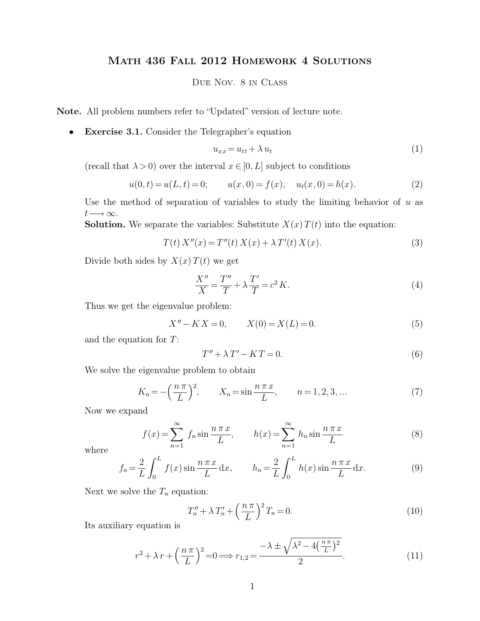## Math 436 Fall 2012 Homework 4 Solutions

## Due Nov. 8 in Class

**Note.** All problem numbers refer to "Updated" version of lecture note.

• **Exercise 3.1.** Consider the Telegrapher's equation

$$
u_{xx} = u_{tt} + \lambda u_t \tag{1}
$$

(recall that  $\lambda > 0$ ) over the interval  $x \in [0, L]$  subject to conditions

$$
u(0, t) = u(L, t) = 0;
$$
  $u(x, 0) = f(x), u_t(x, 0) = h(x).$  (2)

Use the method of separation of variables to study the limiting behavior of  $u$  as  $t \longrightarrow \infty$ .

**Solution.** We separate the variables: Substitute  $X(x)T(t)$  into the equation:

$$
T(t) X''(x) = T''(t) X(x) + \lambda T'(t) X(x).
$$
 (3)

Divide both sides by  $X(x)T(t)$  we get

$$
\frac{X''}{X} = \frac{T''}{T} + \lambda \frac{T'}{T} = c^2 K.
$$
\n<sup>(4)</sup>

Thus we get the eigenvalue problem:

$$
X'' - KX = 0, \qquad X(0) = X(L) = 0.
$$
 (5)

and the equation for T:

$$
T'' + \lambda T' - KT = 0. \tag{6}
$$

We solve the eigenvalue problem to obtain

$$
K_n = -\left(\frac{n\pi}{L}\right)^2
$$
,  $X_n = \sin\frac{n\pi x}{L}$ ,  $n = 1, 2, 3, ...$  (7)

Now we expand

$$
f(x) = \sum_{n=1}^{\infty} f_n \sin \frac{n \pi x}{L}, \qquad h(x) = \sum_{n=1}^{\infty} h_n \sin \frac{n \pi x}{L}
$$
 (8)

where

$$
f_n = \frac{2}{L} \int_0^L f(x) \sin \frac{n \pi x}{L} dx, \qquad h_n = \frac{2}{L} \int_0^L h(x) \sin \frac{n \pi x}{L} dx.
$$
 (9)

Next we solve the  $T_n$  equation:

$$
T_n'' + \lambda T_n' + \left(\frac{n\pi}{L}\right)^2 T_n = 0.
$$
\n<sup>(10)</sup>

Its auxiliary equation is

$$
r^{2} + \lambda r + \left(\frac{n\pi}{L}\right)^{2} = 0 \Longrightarrow r_{1,2} = \frac{-\lambda \pm \sqrt{\lambda^{2} - 4\left(\frac{n\pi}{L}\right)^{2}}}{2}.
$$
\n(11)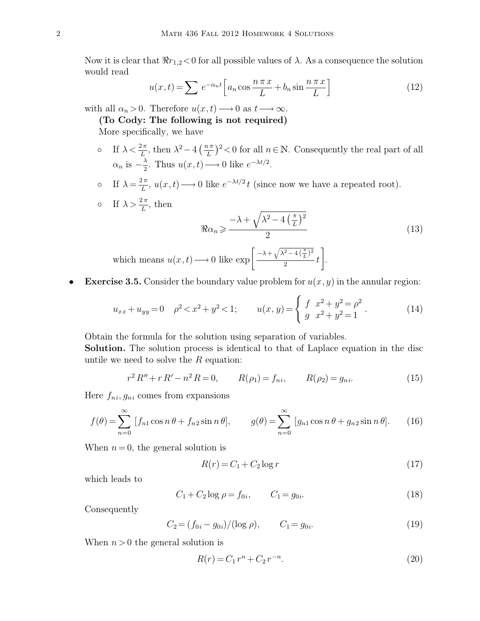Now it is clear that  $\Re r_{1,2} < 0$  for all possible values of  $\lambda$ . As a consequence the solution would read

$$
u(x,t) = \sum e^{-\alpha_n t} \left[ a_n \cos \frac{n \pi x}{L} + b_n \sin \frac{n \pi x}{L} \right]
$$
 (12)

with all  $\alpha_n > 0$ . Therefore  $u(x, t) \rightarrow 0$  as  $t \rightarrow \infty$ .

**(To Cody: The following is not required)**

More specifically, we have

- If  $\lambda < \frac{2\pi}{L}$ , then  $\lambda^2 4\left(\frac{n\pi}{L}\right)^2 < 0$  for all  $n \in \mathbb{N}$ . Consequently the real part of all  $\alpha_n$  is  $-\frac{\lambda}{2}$  $\frac{\lambda}{2}$ . Thus  $u(x,t) \longrightarrow 0$  like  $e^{-\lambda t/2}$ .
- o If  $\lambda = \frac{2\pi}{L}$  $\frac{2\pi}{L}$ ,  $u(x,t) \longrightarrow 0$  like  $e^{-\lambda t/2}t$  (since now we have a repeated root).

$$
\text{or} \quad \text{If } \lambda > \frac{2\pi}{L}, \text{ then}
$$
\n
$$
\Re \alpha_n \geqslant \frac{-\lambda + \sqrt{\lambda^2 - 4\left(\frac{\pi}{L}\right)^2}}{2} \tag{13}
$$
\n
$$
\text{which means } u(x, t) \longrightarrow 0 \text{ like } \exp\left[\frac{-\lambda + \sqrt{\lambda^2 - 4\left(\frac{\pi}{L}\right)^2}}{2}t\right].
$$

• **Exercise 3.5.** Consider the boundary value problem for  $u(x, y)$  in the annular region:

$$
u_{xx} + u_{yy} = 0 \quad \rho^2 < x^2 + y^2 < 1; \qquad u(x, y) = \begin{cases} f & x^2 + y^2 = \rho^2 \\ g & x^2 + y^2 = 1 \end{cases} . \tag{14}
$$

Obtain the formula for the solution using separation of variables.

**Solution.** The solution process is identical to that of Laplace equation in the disc untile we need to solve the  $R$  equation:

$$
r^{2} R'' + r R' - n^{2} R = 0, \qquad R(\rho_{1}) = f_{ni}, \qquad R(\rho_{2}) = g_{ni}. \qquad (15)
$$

Here  $f_{ni}, g_{ni}$  comes from expansions

$$
f(\theta) = \sum_{n=0}^{\infty} [f_{n1} \cos n\theta + f_{n2} \sin n\theta], \qquad g(\theta) = \sum_{n=0}^{\infty} [g_{n1} \cos n\theta + g_{n2} \sin n\theta]. \tag{16}
$$

When  $n = 0$ , the general solution is

$$
R(r) = C_1 + C_2 \log r \tag{17}
$$

which leads to

$$
C_1 + C_2 \log \rho = f_{0i}, \qquad C_1 = g_{0i}.
$$
 (18)

Consequently

$$
C_2 = (f_{0i} - g_{0i})/(\log \rho), \qquad C_1 = g_{0i}.
$$
 (19)

When  $n > 0$  the general solution is

$$
R(r) = C_1 r^n + C_2 r^{-n}.
$$
\n(20)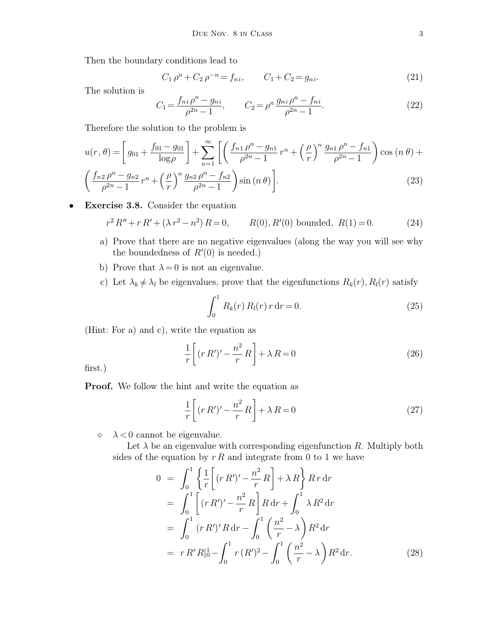Then the boundary conditions lead to

$$
C_1 \rho^n + C_2 \rho^{-n} = f_{ni}, \qquad C_1 + C_2 = g_{ni}. \tag{21}
$$

The solution is

$$
C_1 = \frac{f_{ni}\rho^n - g_{ni}}{\rho^{2n} - 1}, \qquad C_2 = \rho^n \frac{g_{ni}\rho^n - f_{ni}}{\rho^{2n} - 1}.
$$
\n(22)

Therefore the solution to the problem is

$$
u(r,\theta) = \left[g_{01} + \frac{f_{01} - g_{01}}{\log \rho}\right] + \sum_{n=1}^{\infty} \left[ \left(\frac{f_{n1} \rho^n - g_{n1}}{\rho^{2n} - 1} r^n + \left(\frac{\rho}{r}\right)^n \frac{g_{n1} \rho^n - f_{n1}}{\rho^{2n} - 1}\right) \cos\left(n\theta\right) + \left(\frac{f_{n2} \rho^n - g_{n2}}{\rho^{2n} - 1} r^n + \left(\frac{\rho}{r}\right)^n \frac{g_{n2} \rho^n - f_{n2}}{\rho^{2n} - 1}\right) \sin\left(n\theta\right) \right].
$$
\n(23)

• **Exercise 3.8.** Consider the equation

$$
r^{2} R'' + r R' + (\lambda r^{2} - n^{2}) R = 0, \qquad R(0), R'(0) \text{ bounded}, R(1) = 0.
$$
 (24)

- a) Prove that there are no negative eigenvalues (along the way you will see why the boundedness of  $R'(0)$  is needed.)
- b) Prove that  $\lambda = 0$  is not an eigenvalue.
- c) Let  $\lambda_k \neq \lambda_l$  be eigenvalues, prove that the eigenfunctions  $R_k(r)$ ,  $R_l(r)$  satisfy

$$
\int_0^1 R_k(r) R_l(r) r dr = 0.
$$
 (25)

(Hint: For a) and c), write the equation as

$$
\frac{1}{r}\left[ (r R')' - \frac{n^2}{r} R \right] + \lambda R = 0 \tag{26}
$$

first.)

**Proof.** We follow the hint and write the equation as

$$
\frac{1}{r}\left[ (rR')' - \frac{n^2}{r}R \right] + \lambda R = 0\tag{27}
$$

 $\circ \quad \lambda < 0$  cannot be eigenvalue.

Let  $\lambda$  be an eigenvalue with corresponding eigenfunction R. Multiply both sides of the equation by  $r R$  and integrate from 0 to 1 we have

$$
0 = \int_0^1 \left\{ \frac{1}{r} \left[ (r R')' - \frac{n^2}{r} R \right] + \lambda R \right\} R r \, dr
$$
  
\n
$$
= \int_0^1 \left[ (r R')' - \frac{n^2}{r} R \right] R \, dr + \int_0^1 \lambda R^2 \, dr
$$
  
\n
$$
= \int_0^1 (r R')' R \, dr - \int_0^1 \left( \frac{n^2}{r} - \lambda \right) R^2 \, dr
$$
  
\n
$$
= r R' R \Big|_0^1 - \int_0^1 r (R')^2 - \int_0^1 \left( \frac{n^2}{r} - \lambda \right) R^2 \, dr.
$$
 (28)